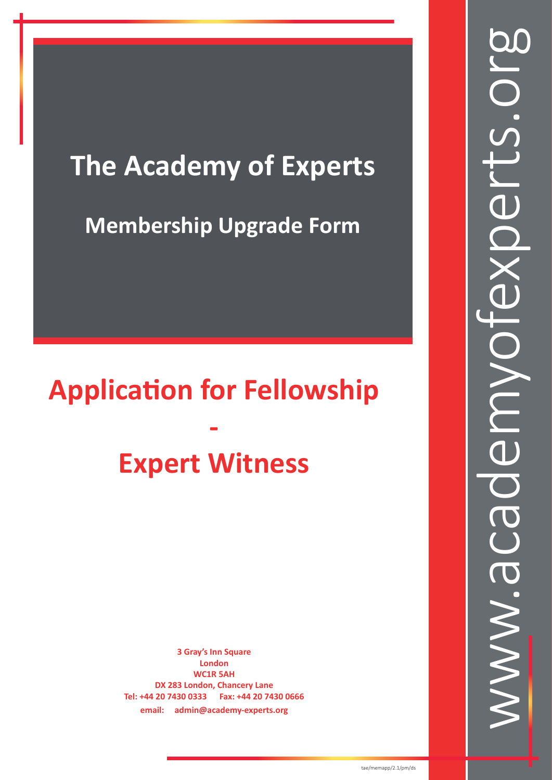# **The Academy of Experts**

## **Membership Upgrade Form**

# **Application for Fellowship - Expert Witness**

**3 Gray's Inn Square London WC1R 5AH DX 283 London, Chancery Lane Tel: +44 20 7430 0333 Fax: +44 20 7430 0666 email: admin@academy-experts.org**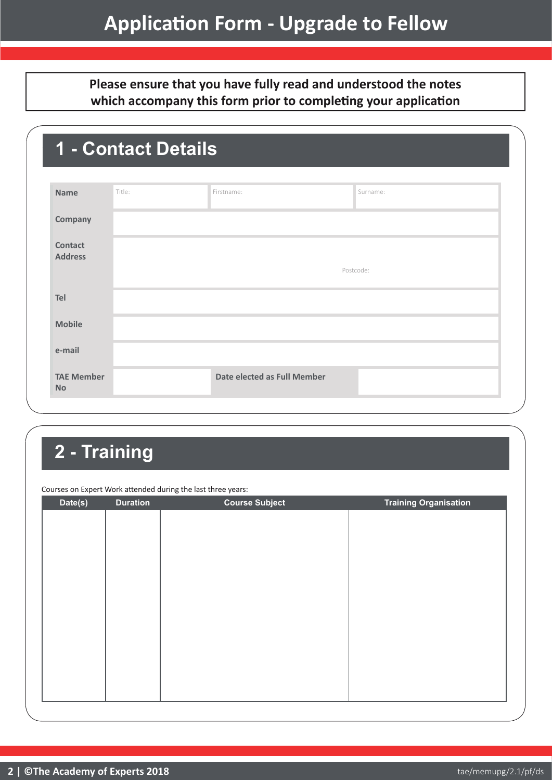**Please ensure that you have fully read and understood the notes which accompany this form prior to completing your application**

| <b>Name</b>                      | Title: | Firstname:                  | Surname:  |  |
|----------------------------------|--------|-----------------------------|-----------|--|
| Company                          |        |                             |           |  |
| <b>Contact</b><br><b>Address</b> |        |                             | Postcode: |  |
| Tel                              |        |                             |           |  |
| <b>Mobile</b>                    |        |                             |           |  |
| e-mail                           |        |                             |           |  |
| <b>TAE Member</b><br><b>No</b>   |        | Date elected as Full Member |           |  |

## **2 - Training**

Courses on Expert Work attended during the last three years:

| Date(s) | <b>Duration</b> | <b>Course Subject</b> | <b>Training Organisation</b> |
|---------|-----------------|-----------------------|------------------------------|
|         |                 |                       |                              |
|         |                 |                       |                              |
|         |                 |                       |                              |
|         |                 |                       |                              |
|         |                 |                       |                              |
|         |                 |                       |                              |
|         |                 |                       |                              |
|         |                 |                       |                              |
|         |                 |                       |                              |
|         |                 |                       |                              |
|         |                 |                       |                              |
|         |                 |                       |                              |
|         |                 |                       |                              |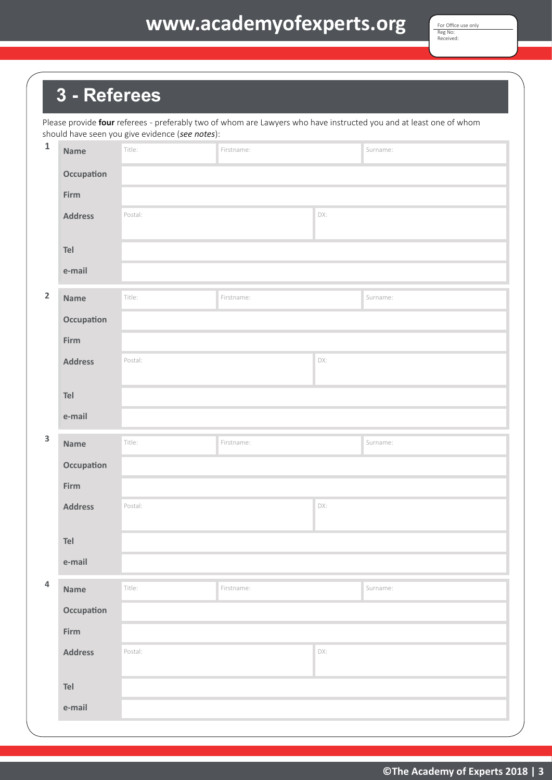## **Application Form - Upgrade to Fellow www.academyofexperts.org**

### **3 - Referees**

Please provide **four** referees - preferably two of whom are Lawyers who have instructed you and at least one of whom should have seen you give evidence (*see notes*):

| $\mathbf 1$               | <b>Name</b>    | Title:  | Firstname: |     | Surname: |  |  |
|---------------------------|----------------|---------|------------|-----|----------|--|--|
|                           | Occupation     |         |            |     |          |  |  |
|                           | Firm           |         |            |     |          |  |  |
|                           | <b>Address</b> | Postal: |            | DX: |          |  |  |
|                           | Tel            |         |            |     |          |  |  |
|                           | e-mail         |         |            |     |          |  |  |
| $\mathbf 2$               | <b>Name</b>    | Title:  | Firstname: |     | Surname: |  |  |
|                           | Occupation     |         |            |     |          |  |  |
|                           | Firm           |         |            |     |          |  |  |
|                           | <b>Address</b> | Postal: |            | DX: |          |  |  |
|                           | Tel            |         |            |     |          |  |  |
|                           | e-mail         |         |            |     |          |  |  |
| $\ensuremath{\mathsf{3}}$ | <b>Name</b>    | Title:  | Firstname: |     | Surname: |  |  |
|                           | Occupation     |         |            |     |          |  |  |
|                           | Firm           |         |            |     |          |  |  |
|                           | <b>Address</b> | Postal: |            | DX: |          |  |  |
|                           | Tel            |         |            |     |          |  |  |
|                           | e-mail         |         |            |     |          |  |  |
| $\overline{4}$            | Name           | Title:  | Firstname: |     | Surname: |  |  |
|                           | Occupation     |         |            |     |          |  |  |
|                           | Firm           |         |            |     |          |  |  |
|                           | <b>Address</b> | Postal: |            | DX: |          |  |  |
|                           |                |         |            |     |          |  |  |
|                           | Tel            |         |            |     |          |  |  |
|                           | e-mail         |         |            |     |          |  |  |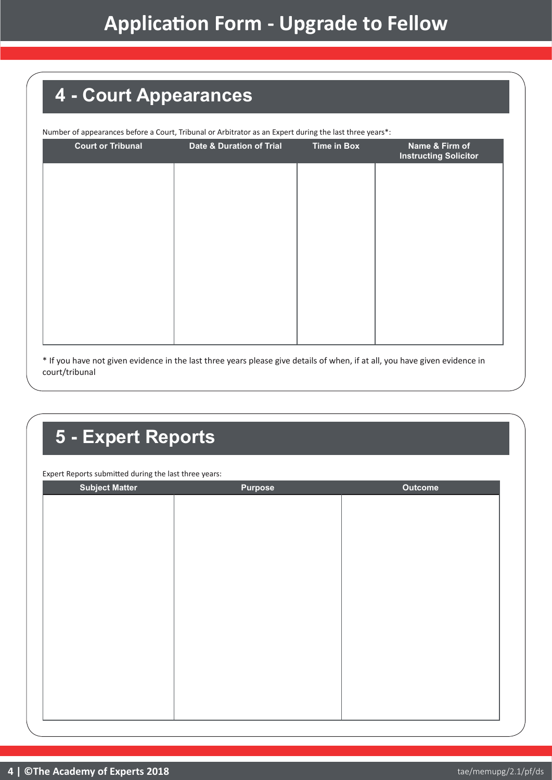## **4 - Court Appearances**

| <b>Court or Tribunal</b> | <b>Date &amp; Duration of Trial</b> | <b>Time in Box</b> | Name & Firm of<br><b>Instructing Solicitor</b> |
|--------------------------|-------------------------------------|--------------------|------------------------------------------------|
|                          |                                     |                    |                                                |
|                          |                                     |                    |                                                |
|                          |                                     |                    |                                                |
|                          |                                     |                    |                                                |
|                          |                                     |                    |                                                |
|                          |                                     |                    |                                                |
|                          |                                     |                    |                                                |

\* If you have not given evidence in the last three years please give details of when, if at all, you have given evidence in court/tribunal

## **5 - Expert Reports**

Expert Reports submitted during the last three years:

| <b>Subject Matter</b> | <b>Purpose</b> | <b>Outcome</b> |
|-----------------------|----------------|----------------|
|                       |                |                |
|                       |                |                |
|                       |                |                |
|                       |                |                |
|                       |                |                |
|                       |                |                |
|                       |                |                |
|                       |                |                |
|                       |                |                |
|                       |                |                |
|                       |                |                |
|                       |                |                |
|                       |                |                |
|                       |                |                |
|                       |                |                |
|                       |                |                |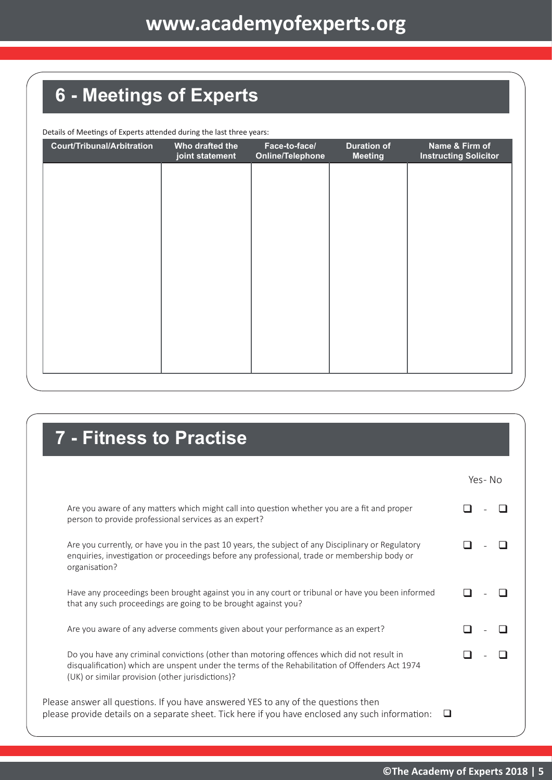# **6 - Meetings of Experts**

Details of Meetings of Experts attended during the last three years:

| <b>Court/Tribunal/Arbitration</b> | Who drafted the<br>joint statement | Face-to-face/<br><b>Online/Telephone</b> | <b>Duration of</b><br><b>Meeting</b> | Name & Firm of<br><b>Instructing Solicitor</b> |
|-----------------------------------|------------------------------------|------------------------------------------|--------------------------------------|------------------------------------------------|
|                                   |                                    |                                          |                                      |                                                |
|                                   |                                    |                                          |                                      |                                                |
|                                   |                                    |                                          |                                      |                                                |
|                                   |                                    |                                          |                                      |                                                |
|                                   |                                    |                                          |                                      |                                                |
|                                   |                                    |                                          |                                      |                                                |
|                                   |                                    |                                          |                                      |                                                |
|                                   |                                    |                                          |                                      |                                                |
|                                   |                                    |                                          |                                      |                                                |

### **7 - Fitness to Practise**

|                                                                                                                                                                                                                                                   | Yes-No |
|---------------------------------------------------------------------------------------------------------------------------------------------------------------------------------------------------------------------------------------------------|--------|
| Are you aware of any matters which might call into question whether you are a fit and proper<br>person to provide professional services as an expert?                                                                                             |        |
| Are you currently, or have you in the past 10 years, the subject of any Disciplinary or Regulatory<br>enquiries, investigation or proceedings before any professional, trade or membership body or<br>organisation?                               |        |
| Have any proceedings been brought against you in any court or tribunal or have you been informed<br>that any such proceedings are going to be brought against you?                                                                                |        |
| Are you aware of any adverse comments given about your performance as an expert?                                                                                                                                                                  |        |
| Do you have any criminal convictions (other than motoring offences which did not result in<br>disqualification) which are unspent under the terms of the Rehabilitation of Offenders Act 1974<br>(UK) or similar provision (other jurisdictions)? |        |
| Please answer all questions. If you have answered YES to any of the questions then<br>please provide details on a separate sheet. Tick here if you have enclosed any such information:                                                            |        |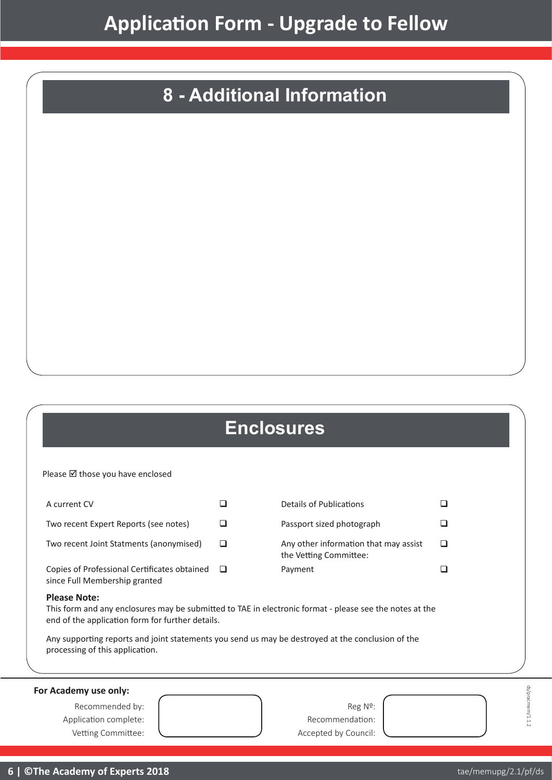## **8 - Additional Information**

### **Enclosures**

Please  $\boxtimes$  those you have enclosed

| A current CV                                                                  | Details of Publications                                         |  |
|-------------------------------------------------------------------------------|-----------------------------------------------------------------|--|
| Two recent Expert Reports (see notes)                                         | Passport sized photograph                                       |  |
| Two recent Joint Statments (anonymised)                                       | Any other information that may assist<br>the Vetting Committee: |  |
| Copies of Professional Certificates obtained<br>since Full Membership granted | Payment                                                         |  |

#### **Please Note:**

This form and any enclosures may be submitted to TAE in electronic format - please see the notes at the end of the application form for further details.

Any supporting reports and joint statements you send us may be destroyed at the conclusion of the processing of this application.

**For Academy use only:**

Recommended by:  $\left\{\n\begin{array}{ccc}\n1 & 1 & 1 \\
1 & 1 & 1\n\end{array}\n\right\}$  Reg Nº: Application complete:  $\begin{array}{ccc} \vert & \vert & \vert & \vert & \vert \end{array}$  Recommendation:

Vetting Committee:  $\bigcup$  Accepted by Council:

 $\Box$ 

ds/pracmem/1.1.2

ds/pracmem/1.1.2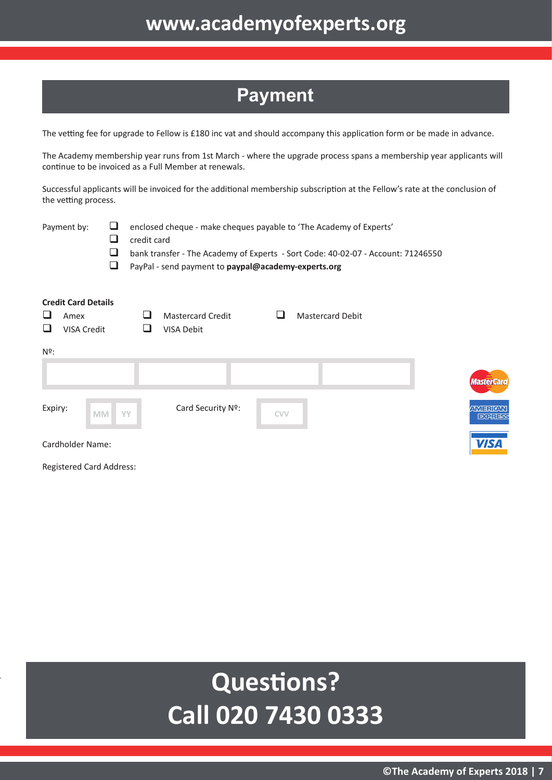### **Payment**

The vetting fee for upgrade to Fellow is £180 inc vat and should accompany this application form or be made in advance.

The Academy membership year runs from 1st March - where the upgrade process spans a membership year applicants will continue to be invoiced as a Full Member at renewals.

Successful applicants will be invoiced for the additional membership subscription at the Fellow's rate at the conclusion of the vetting process.

| Payment by:                                                               | ⊔<br>⊔<br>⊔<br>⊔ | enclosed cheque - make cheques payable to 'The Academy of Experts'<br>credit card<br>bank transfer - The Academy of Experts - Sort Code: 40-02-07 - Account: 71246550<br>PayPal - send payment to paypal@academy-experts.org |                          |            |                         |                    |  |
|---------------------------------------------------------------------------|------------------|------------------------------------------------------------------------------------------------------------------------------------------------------------------------------------------------------------------------------|--------------------------|------------|-------------------------|--------------------|--|
| <b>Credit Card Details</b><br>⊔<br>Amex<br>❏<br><b>VISA Credit</b><br>Nº: |                  | VISA Debit                                                                                                                                                                                                                   | <b>Mastercard Credit</b> |            | <b>Mastercard Debit</b> |                    |  |
|                                                                           |                  |                                                                                                                                                                                                                              |                          |            |                         | <i><b>Mast</b></i> |  |
| Expiry:                                                                   | <b>MM</b>        | YY                                                                                                                                                                                                                           | Card Security Nº:        | <b>CVV</b> |                         | <b>ANTE</b><br>E   |  |

Cardholder Name:

Registered Card Address:

# **Questions? Call 020 7430 0333**

erCard

**RICAN** 用甜手

**VISA**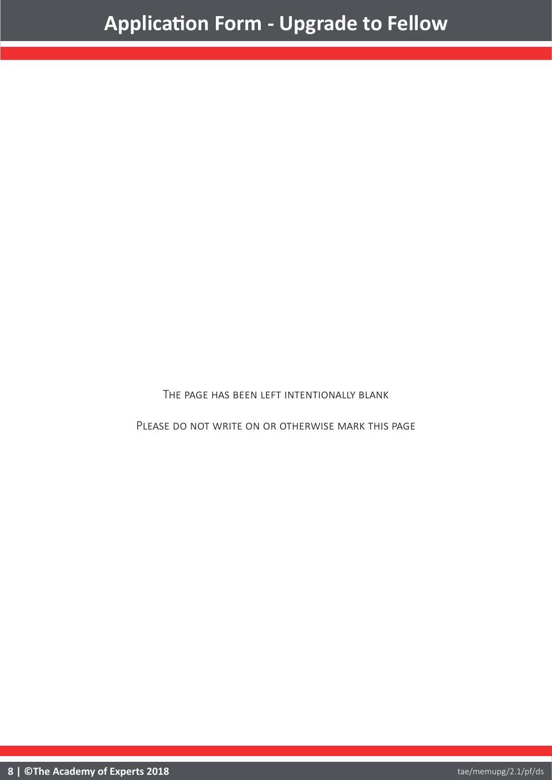The page has been left intentionally blank

PLEASE DO NOT WRITE ON OR OTHERWISE MARK THIS PAGE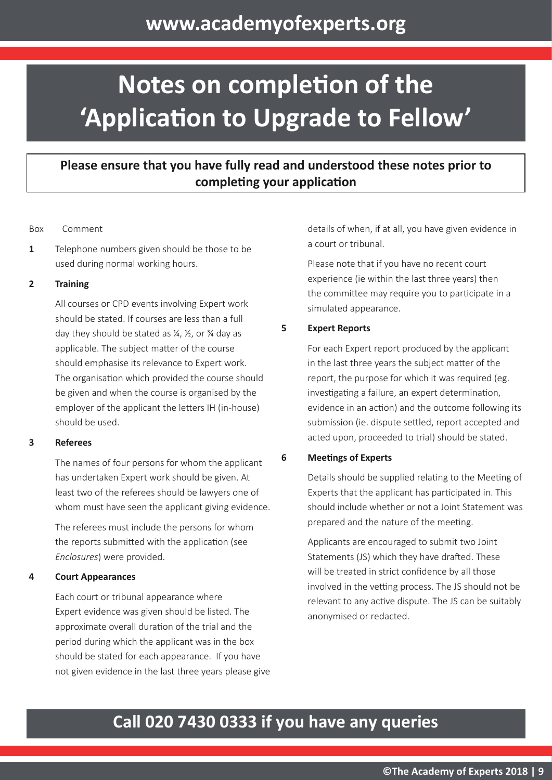# **Notes on completion of the 'Application to Upgrade to Fellow'**

### **Please ensure that you have fully read and understood these notes prior to completing your application**

#### Box Comment

**1** Telephone numbers given should be those to be used during normal working hours.

#### **2 Training**

All courses or CPD events involving Expert work should be stated. If courses are less than a full day they should be stated as  $\frac{1}{2}$ ,  $\frac{1}{2}$ , or  $\frac{3}{4}$  day as applicable. The subject matter of the course should emphasise its relevance to Expert work. The organisation which provided the course should be given and when the course is organised by the employer of the applicant the letters IH (in-house) should be used.

#### **3 Referees**

The names of four persons for whom the applicant has undertaken Expert work should be given. At least two of the referees should be lawyers one of whom must have seen the applicant giving evidence.

The referees must include the persons for whom the reports submitted with the application (see *Enclosures*) were provided.

#### **4 Court Appearances**

Each court or tribunal appearance where Expert evidence was given should be listed. The approximate overall duration of the trial and the period during which the applicant was in the box should be stated for each appearance. If you have not given evidence in the last three years please give details of when, if at all, you have given evidence in a court or tribunal.

Please note that if you have no recent court experience (ie within the last three years) then the committee may require you to participate in a simulated appearance.

#### **5 Expert Reports**

For each Expert report produced by the applicant in the last three years the subject matter of the report, the purpose for which it was required (eg. investigating a failure, an expert determination, evidence in an action) and the outcome following its submission (ie. dispute settled, report accepted and acted upon, proceeded to trial) should be stated.

#### **6 Meetings of Experts**

Details should be supplied relating to the Meeting of Experts that the applicant has participated in. This should include whether or not a Joint Statement was prepared and the nature of the meeting.

Applicants are encouraged to submit two Joint Statements (JS) which they have drafted. These will be treated in strict confidence by all those involved in the vetting process. The JS should not be relevant to any active dispute. The JS can be suitably anonymised or redacted.

### **Call 020 7430 0333 if you have any queries**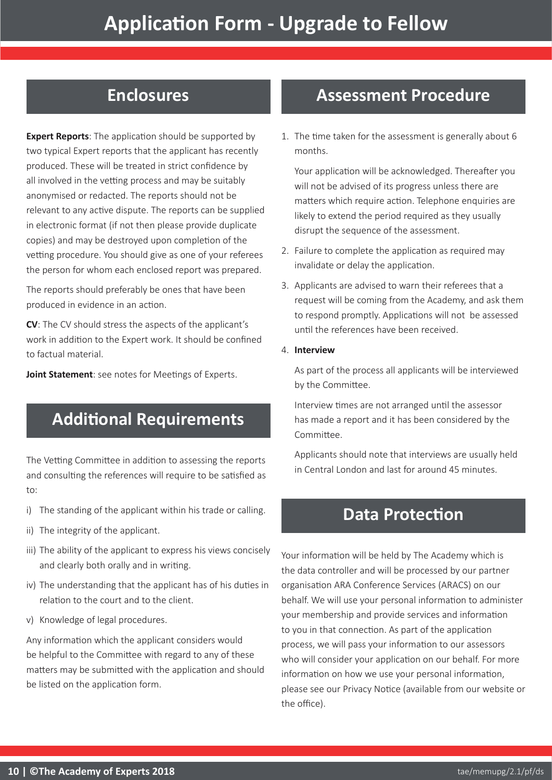### **Enclosures**

**Expert Reports**: The application should be supported by two typical Expert reports that the applicant has recently produced. These will be treated in strict confidence by all involved in the vetting process and may be suitably anonymised or redacted. The reports should not be relevant to any active dispute. The reports can be supplied in electronic format (if not then please provide duplicate copies) and may be destroyed upon completion of the vetting procedure. You should give as one of your referees the person for whom each enclosed report was prepared.

The reports should preferably be ones that have been produced in evidence in an action.

**CV**: The CV should stress the aspects of the applicant's work in addition to the Expert work. It should be confined to factual material.

**Joint Statement**: see notes for Meetings of Experts.

### **Additional Requirements**

The Vetting Committee in addition to assessing the reports and consulting the references will require to be satisfied as to:

- i) The standing of the applicant within his trade or calling.
- ii) The integrity of the applicant.
- iii) The ability of the applicant to express his views concisely and clearly both orally and in writing.
- iv) The understanding that the applicant has of his duties in relation to the court and to the client.
- v) Knowledge of legal procedures.

Any information which the applicant considers would be helpful to the Committee with regard to any of these matters may be submitted with the application and should be listed on the application form.

### **Assessment Procedure**

1. The time taken for the assessment is generally about 6 months.

Your application will be acknowledged. Thereafter you will not be advised of its progress unless there are matters which require action. Telephone enquiries are likely to extend the period required as they usually disrupt the sequence of the assessment.

- 2. Failure to complete the application as required may invalidate or delay the application.
- 3. Applicants are advised to warn their referees that a request will be coming from the Academy, and ask them to respond promptly. Applications will not be assessed until the references have been received.
- 4. **Interview**

As part of the process all applicants will be interviewed by the Committee.

Interview times are not arranged until the assessor has made a report and it has been considered by the Committee.

Applicants should note that interviews are usually held in Central London and last for around 45 minutes.

### **Data Protection**

Your information will be held by The Academy which is the data controller and will be processed by our partner organisation ARA Conference Services (ARACS) on our behalf. We will use your personal information to administer your membership and provide services and information to you in that connection. As part of the application process, we will pass your information to our assessors who will consider your application on our behalf. For more information on how we use your personal information, please see our Privacy Notice (available from our website or the office).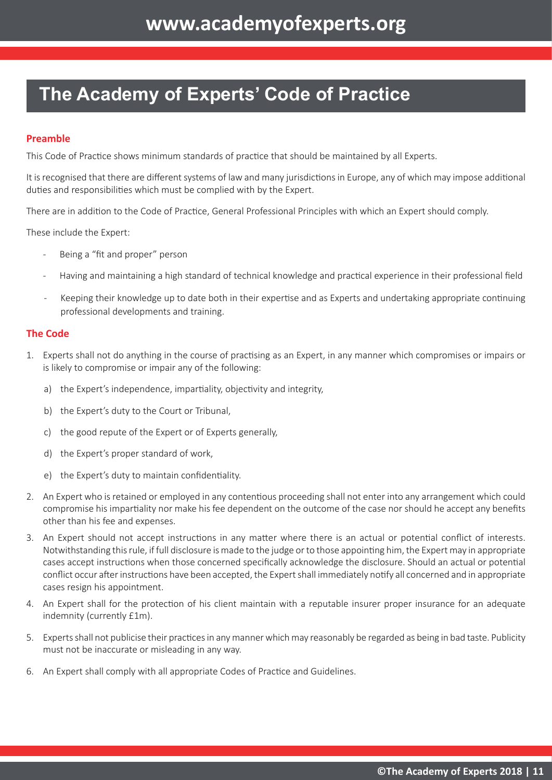### **The Academy of Experts' Code of Practice**

#### **Preamble**

This Code of Practice shows minimum standards of practice that should be maintained by all Experts.

It is recognised that there are different systems of law and many jurisdictions in Europe, any of which may impose additional duties and responsibilities which must be complied with by the Expert.

There are in addition to the Code of Practice, General Professional Principles with which an Expert should comply.

These include the Expert:

- Being a "fit and proper" person
- Having and maintaining a high standard of technical knowledge and practical experience in their professional field
- Keeping their knowledge up to date both in their expertise and as Experts and undertaking appropriate continuing professional developments and training.

#### **The Code**

- 1. Experts shall not do anything in the course of practising as an Expert, in any manner which compromises or impairs or is likely to compromise or impair any of the following:
	- a) the Expert's independence, impartiality, objectivity and integrity,
	- b) the Expert's duty to the Court or Tribunal,
	- c) the good repute of the Expert or of Experts generally,
	- d) the Expert's proper standard of work,
	- e) the Expert's duty to maintain confidentiality.
- 2. An Expert who is retained or employed in any contentious proceeding shall not enter into any arrangement which could compromise his impartiality nor make his fee dependent on the outcome of the case nor should he accept any benefits other than his fee and expenses.
- 3. An Expert should not accept instructions in any matter where there is an actual or potential conflict of interests. Notwithstanding this rule, if full disclosure is made to the judge or to those appointing him, the Expert may in appropriate cases accept instructions when those concerned specifically acknowledge the disclosure. Should an actual or potential conflict occur after instructions have been accepted, the Expert shall immediately notify all concerned and in appropriate cases resign his appointment.
- 4. An Expert shall for the protection of his client maintain with a reputable insurer proper insurance for an adequate indemnity (currently £1m).
- 5. Experts shall not publicise their practices in any manner which may reasonably be regarded as being in bad taste. Publicity must not be inaccurate or misleading in any way.
- 6. An Expert shall comply with all appropriate Codes of Practice and Guidelines.